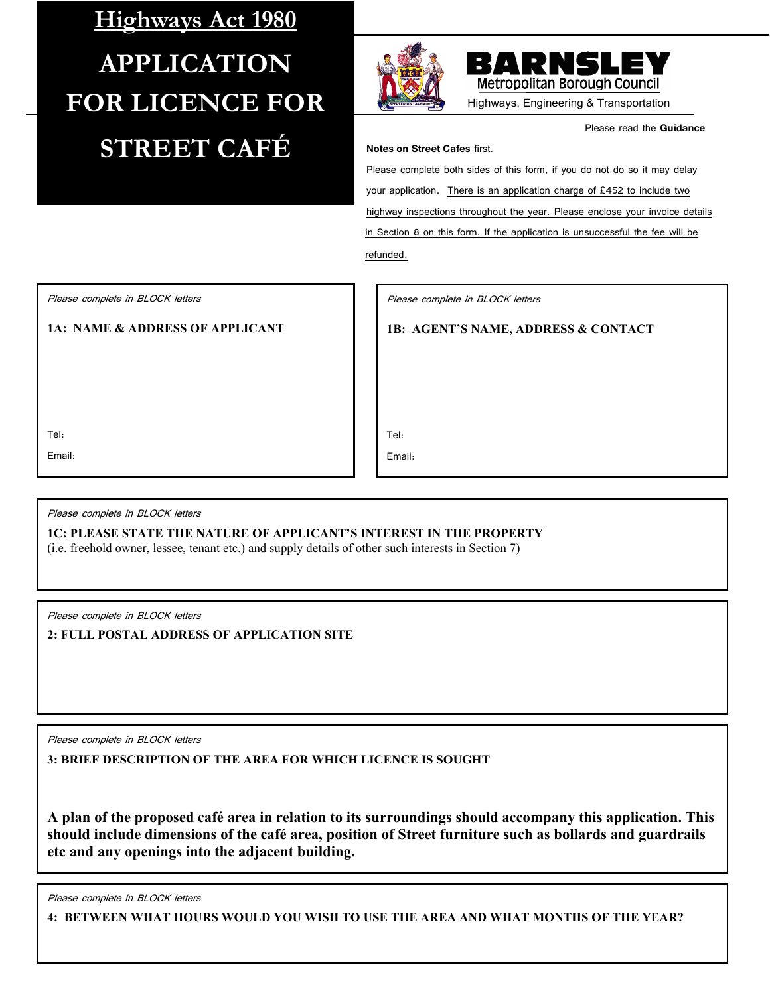## **Highways Act 1980 APPLICATION FOR LICENCE FOR STREET CAFÉ**





Highways, Engineering & Transportation

Please read the **Guidance** 

**Notes on Street Cafes** first.

Please complete both sides of this form, if you do not do so it may delay your application. There is an application charge of £452 to include two highway inspections throughout the year. Please enclose your invoice details in Section 8 on this form. If the application is unsuccessful the fee will be refunded.

Please complete in BLOCK letters

**1A: NAME & ADDRESS OF APPLICANT**

Please complete in BLOCK letters

**1B: AGENT'S NAME, ADDRESS & CONTACT**

Tel:

Email:

Tel:

Email:

Please complete in BLOCK letters

**1C: PLEASE STATE THE NATURE OF APPLICANT'S INTEREST IN THE PROPERTY**

(i.e. freehold owner, lessee, tenant etc.) and supply details of other such interests in Section 7)

Please complete in BLOCK letters

**2: FULL POSTAL ADDRESS OF APPLICATION SITE**

Please complete in BLOCK letters

**3: BRIEF DESCRIPTION OF THE AREA FOR WHICH LICENCE IS SOUGHT**

**A plan of the proposed café area in relation to its surroundings should accompany this application. This should include dimensions of the café area, position of Street furniture such as bollards and guardrails etc and any openings into the adjacent building.**

Please complete in BLOCK letters

**4: BETWEEN WHAT HOURS WOULD YOU WISH TO USE THE AREA AND WHAT MONTHS OF THE YEAR?**